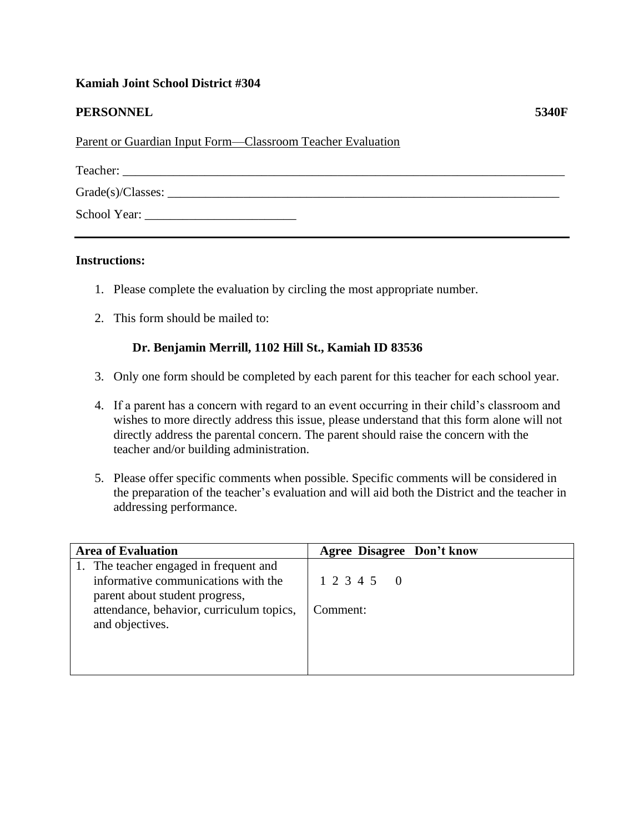## **Kamiah Joint School District #304**

## **PERSONNEL 5340F**

Parent or Guardian Input Form—Classroom Teacher Evaluation

| Teacher:             |  |  |
|----------------------|--|--|
| $Grade(s)/Classes$ : |  |  |
| School Year:         |  |  |

## **Instructions:**

- 1. Please complete the evaluation by circling the most appropriate number.
- 2. This form should be mailed to:

## **Dr. Benjamin Merrill, 1102 Hill St., Kamiah ID 83536**

- 3. Only one form should be completed by each parent for this teacher for each school year.
- 4. If a parent has a concern with regard to an event occurring in their child's classroom and wishes to more directly address this issue, please understand that this form alone will not directly address the parental concern. The parent should raise the concern with the teacher and/or building administration.
- 5. Please offer specific comments when possible. Specific comments will be considered in the preparation of the teacher's evaluation and will aid both the District and the teacher in addressing performance.

| <b>Area of Evaluation</b>                                                                                                                                                      | <b>Agree Disagree Don't know</b> |
|--------------------------------------------------------------------------------------------------------------------------------------------------------------------------------|----------------------------------|
| 1. The teacher engaged in frequent and<br>informative communications with the<br>parent about student progress,<br>attendance, behavior, curriculum topics,<br>and objectives. | 1 2 3 4 5 0<br>Comment:          |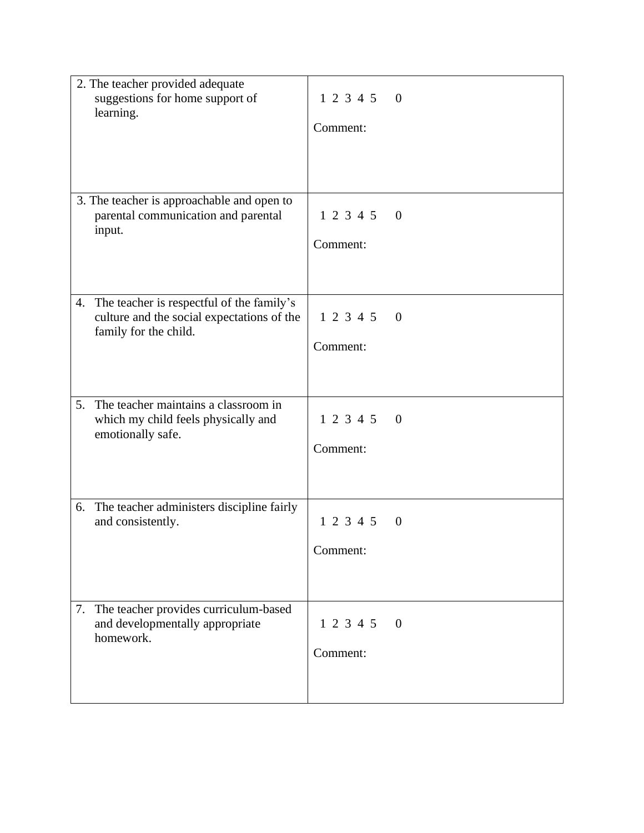| 2. The teacher provided adequate<br>suggestions for home support of<br>learning.                                       | 123450<br>Comment:                |
|------------------------------------------------------------------------------------------------------------------------|-----------------------------------|
| 3. The teacher is approachable and open to<br>parental communication and parental<br>input.                            | 123450<br>Comment:                |
| The teacher is respectful of the family's<br>4.<br>culture and the social expectations of the<br>family for the child. | 123450<br>Comment:                |
| The teacher maintains a classroom in<br>5.<br>which my child feels physically and<br>emotionally safe.                 | 1 2 3 4 5 0<br>Comment:           |
| 6. The teacher administers discipline fairly<br>and consistently.                                                      | 1 2 3 4 5<br>$\theta$<br>Comment: |
| The teacher provides curriculum-based<br>7.<br>and developmentally appropriate<br>homework.                            | 1 2 3 4 5<br>$\theta$<br>Comment: |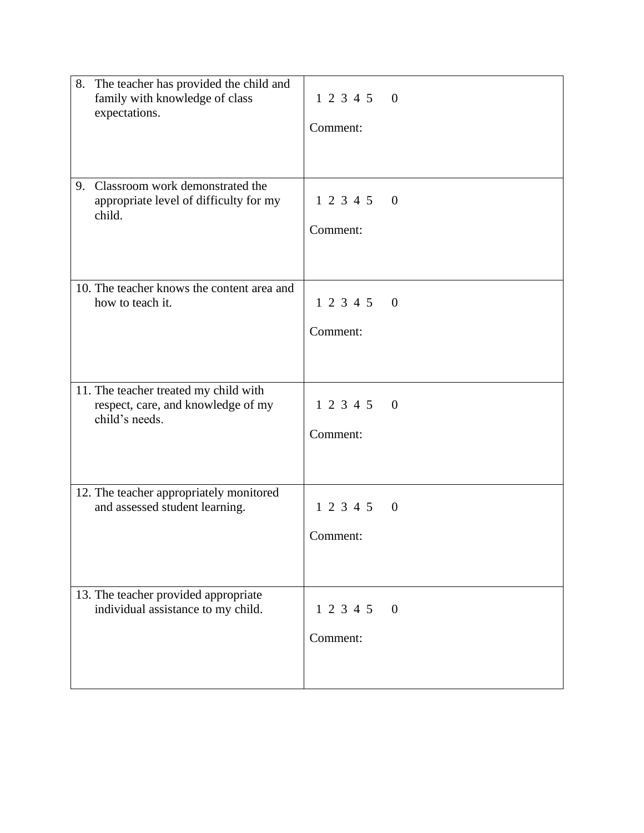| 8. The teacher has provided the child and<br>family with knowledge of class<br>expectations.  | 123450<br>Comment:                      |
|-----------------------------------------------------------------------------------------------|-----------------------------------------|
| Classroom work demonstrated the<br>9.<br>appropriate level of difficulty for my<br>child.     | 123450<br>Comment:                      |
| 10. The teacher knows the content area and<br>how to teach it.                                | 123450<br>Comment:                      |
| 11. The teacher treated my child with<br>respect, care, and knowledge of my<br>child's needs. | 123450<br>Comment:                      |
| 12. The teacher appropriately monitored<br>and assessed student learning.                     | 123450<br>Comment:                      |
| 13. The teacher provided appropriate<br>individual assistance to my child.                    | 1 2 3 4 5<br>$\overline{0}$<br>Comment: |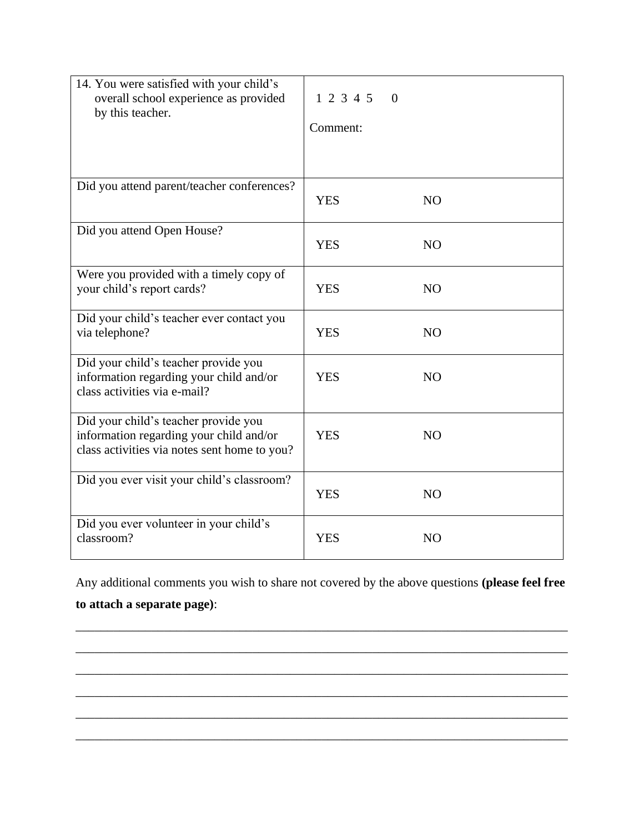| 14. You were satisfied with your child's<br>overall school experience as provided<br>by this teacher.                           | 1 2 3 4 5<br>$\Omega$<br>Comment: |                |
|---------------------------------------------------------------------------------------------------------------------------------|-----------------------------------|----------------|
| Did you attend parent/teacher conferences?                                                                                      | <b>YES</b>                        | N <sub>O</sub> |
| Did you attend Open House?                                                                                                      | <b>YES</b>                        | N <sub>O</sub> |
| Were you provided with a timely copy of<br>your child's report cards?                                                           | <b>YES</b>                        | N <sub>O</sub> |
| Did your child's teacher ever contact you<br>via telephone?                                                                     | <b>YES</b>                        | N <sub>O</sub> |
| Did your child's teacher provide you<br>information regarding your child and/or<br>class activities via e-mail?                 | <b>YES</b>                        | N <sub>O</sub> |
| Did your child's teacher provide you<br>information regarding your child and/or<br>class activities via notes sent home to you? | <b>YES</b>                        | N <sub>O</sub> |
| Did you ever visit your child's classroom?                                                                                      | <b>YES</b>                        | N <sub>O</sub> |
| Did you ever volunteer in your child's<br>classroom?                                                                            | <b>YES</b>                        | N <sub>O</sub> |

Any additional comments you wish to share not covered by the above questions **(please feel free to attach a separate page)**:

\_\_\_\_\_\_\_\_\_\_\_\_\_\_\_\_\_\_\_\_\_\_\_\_\_\_\_\_\_\_\_\_\_\_\_\_\_\_\_\_\_\_\_\_\_\_\_\_\_\_\_\_\_\_\_\_\_\_\_\_\_\_\_\_\_\_\_\_\_\_\_\_\_\_\_\_\_\_

\_\_\_\_\_\_\_\_\_\_\_\_\_\_\_\_\_\_\_\_\_\_\_\_\_\_\_\_\_\_\_\_\_\_\_\_\_\_\_\_\_\_\_\_\_\_\_\_\_\_\_\_\_\_\_\_\_\_\_\_\_\_\_\_\_\_\_\_\_\_\_\_\_\_\_\_\_\_

\_\_\_\_\_\_\_\_\_\_\_\_\_\_\_\_\_\_\_\_\_\_\_\_\_\_\_\_\_\_\_\_\_\_\_\_\_\_\_\_\_\_\_\_\_\_\_\_\_\_\_\_\_\_\_\_\_\_\_\_\_\_\_\_\_\_\_\_\_\_\_\_\_\_\_\_\_\_

\_\_\_\_\_\_\_\_\_\_\_\_\_\_\_\_\_\_\_\_\_\_\_\_\_\_\_\_\_\_\_\_\_\_\_\_\_\_\_\_\_\_\_\_\_\_\_\_\_\_\_\_\_\_\_\_\_\_\_\_\_\_\_\_\_\_\_\_\_\_\_\_\_\_\_\_\_\_

\_\_\_\_\_\_\_\_\_\_\_\_\_\_\_\_\_\_\_\_\_\_\_\_\_\_\_\_\_\_\_\_\_\_\_\_\_\_\_\_\_\_\_\_\_\_\_\_\_\_\_\_\_\_\_\_\_\_\_\_\_\_\_\_\_\_\_\_\_\_\_\_\_\_\_\_\_\_

\_\_\_\_\_\_\_\_\_\_\_\_\_\_\_\_\_\_\_\_\_\_\_\_\_\_\_\_\_\_\_\_\_\_\_\_\_\_\_\_\_\_\_\_\_\_\_\_\_\_\_\_\_\_\_\_\_\_\_\_\_\_\_\_\_\_\_\_\_\_\_\_\_\_\_\_\_\_